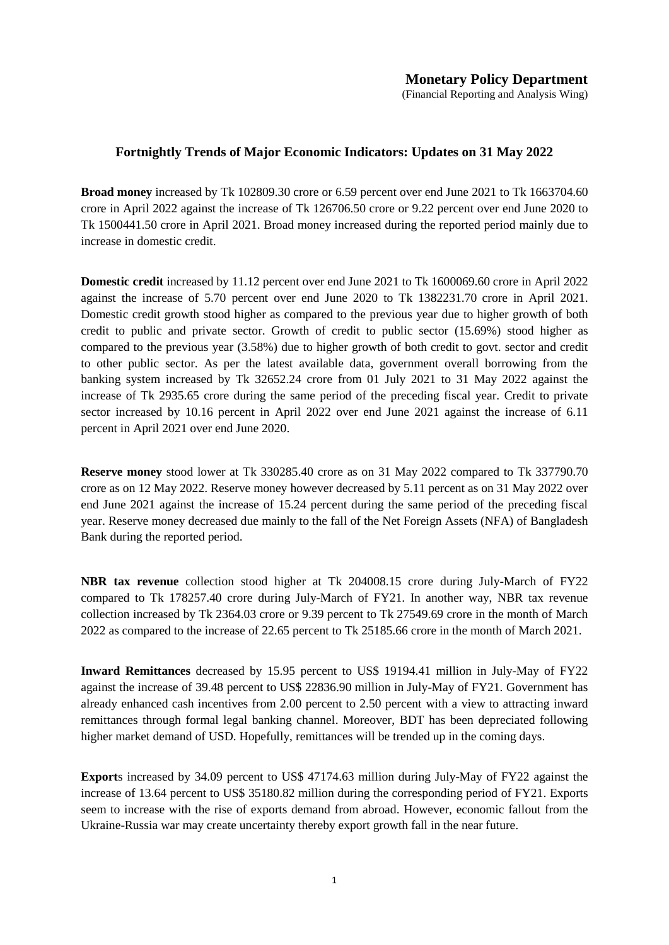## **Fortnightly Trends of Major Economic Indicators: Updates on 31 May 2022**

**Broad money** increased by Tk 102809.30 crore or 6.59 percent over end June 2021 to Tk 1663704.60 crore in April 2022 against the increase of Tk 126706.50 crore or 9.22 percent over end June 2020 to Tk 1500441.50 crore in April 2021. Broad money increased during the reported period mainly due to increase in domestic credit.

**Domestic credit** increased by 11.12 percent over end June 2021 to Tk 1600069.60 crore in April 2022 against the increase of 5.70 percent over end June 2020 to Tk 1382231.70 crore in April 2021. Domestic credit growth stood higher as compared to the previous year due to higher growth of both credit to public and private sector. Growth of credit to public sector (15.69%) stood higher as compared to the previous year (3.58%) due to higher growth of both credit to govt. sector and credit to other public sector. As per the latest available data, government overall borrowing from the banking system increased by Tk 32652.24 crore from 01 July 2021 to 31 May 2022 against the increase of Tk 2935.65 crore during the same period of the preceding fiscal year. Credit to private sector increased by 10.16 percent in April 2022 over end June 2021 against the increase of 6.11 percent in April 2021 over end June 2020.

**Reserve money** stood lower at Tk 330285.40 crore as on 31 May 2022 compared to Tk 337790.70 crore as on 12 May 2022. Reserve money however decreased by 5.11 percent as on 31 May 2022 over end June 2021 against the increase of 15.24 percent during the same period of the preceding fiscal year. Reserve money decreased due mainly to the fall of the Net Foreign Assets (NFA) of Bangladesh Bank during the reported period.

**NBR tax revenue** collection stood higher at Tk 204008.15 crore during July-March of FY22 compared to Tk 178257.40 crore during July-March of FY21. In another way, NBR tax revenue collection increased by Tk 2364.03 crore or 9.39 percent to Tk 27549.69 crore in the month of March 2022 as compared to the increase of 22.65 percent to Tk 25185.66 crore in the month of March 2021.

**Inward Remittances** decreased by 15.95 percent to US\$ 19194.41 million in July-May of FY22 against the increase of 39.48 percent to US\$ 22836.90 million in July-May of FY21. Government has already enhanced cash incentives from 2.00 percent to 2.50 percent with a view to attracting inward remittances through formal legal banking channel. Moreover, BDT has been depreciated following higher market demand of USD. Hopefully, remittances will be trended up in the coming days.

**Export**s increased by 34.09 percent to US\$ 47174.63 million during July-May of FY22 against the increase of 13.64 percent to US\$ 35180.82 million during the corresponding period of FY21. Exports seem to increase with the rise of exports demand from abroad. However, economic fallout from the Ukraine-Russia war may create uncertainty thereby export growth fall in the near future.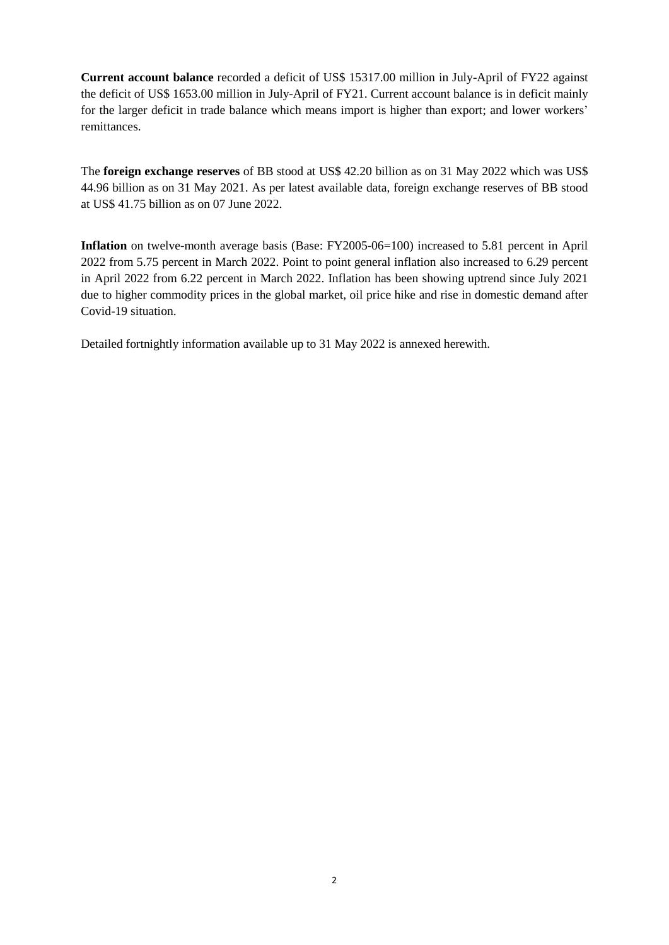**Current account balance** recorded a deficit of US\$ 15317.00 million in July-April of FY22 against the deficit of US\$ 1653.00 million in July-April of FY21. Current account balance is in deficit mainly for the larger deficit in trade balance which means import is higher than export; and lower workers' remittances.

The **foreign exchange reserves** of BB stood at US\$ 42.20 billion as on 31 May 2022 which was US\$ 44.96 billion as on 31 May 2021. As per latest available data, foreign exchange reserves of BB stood at US\$ 41.75 billion as on 07 June 2022.

**Inflation** on twelve-month average basis (Base: FY2005-06=100) increased to 5.81 percent in April 2022 from 5.75 percent in March 2022. Point to point general inflation also increased to 6.29 percent in April 2022 from 6.22 percent in March 2022. Inflation has been showing uptrend since July 2021 due to higher commodity prices in the global market, oil price hike and rise in domestic demand after Covid-19 situation.

Detailed fortnightly information available up to 31 May 2022 is annexed herewith.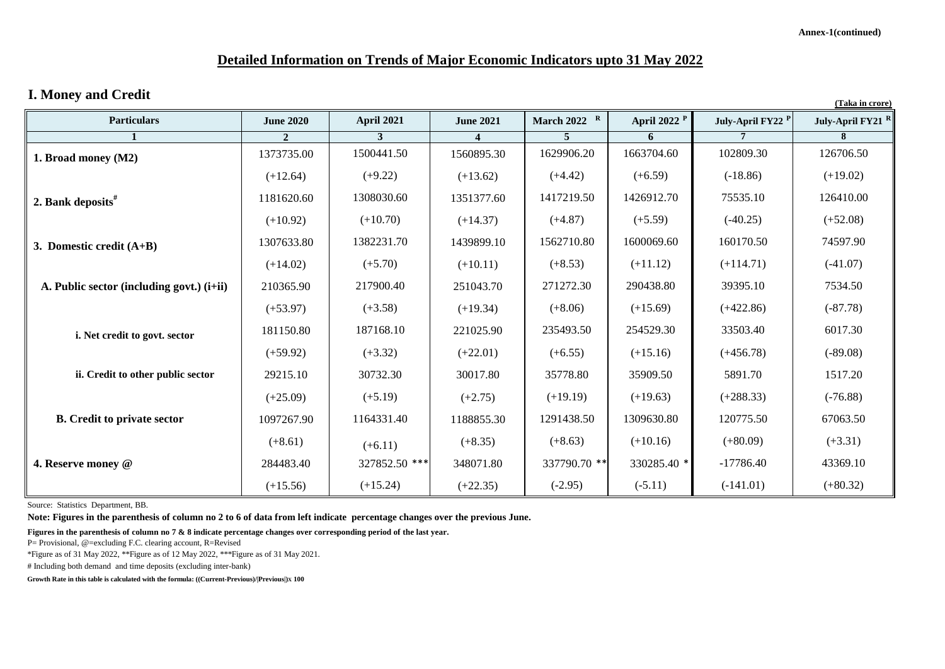# **Detailed Information on Trends of Major Economic Indicators upto 31 May 2022**

## **I. Money and Credit**

| 1. <b>Explore</b> , and Create<br>(Taka in crore) |                  |                   |                  |                |                         |                              |                              |
|---------------------------------------------------|------------------|-------------------|------------------|----------------|-------------------------|------------------------------|------------------------------|
| <b>Particulars</b>                                | <b>June 2020</b> | <b>April 2021</b> | <b>June 2021</b> | March 2022 $R$ | April 2022 <sup>P</sup> | July-April FY22 <sup>P</sup> | July-April FY21 <sup>R</sup> |
|                                                   | $\overline{2}$   |                   |                  | 5              | 6                       |                              | 8                            |
| 1. Broad money (M2)                               | 1373735.00       | 1500441.50        | 1560895.30       | 1629906.20     | 1663704.60              | 102809.30                    | 126706.50                    |
|                                                   | $(+12.64)$       | $(+9.22)$         | $(+13.62)$       | $(+4.42)$      | $(+6.59)$               | $(-18.86)$                   | $(+19.02)$                   |
| 2. Bank deposits"                                 | 1181620.60       | 1308030.60        | 1351377.60       | 1417219.50     | 1426912.70              | 75535.10                     | 126410.00                    |
|                                                   | $(+10.92)$       | $(+10.70)$        | $(+14.37)$       | $(+4.87)$      | $(+5.59)$               | $(-40.25)$                   | $(+52.08)$                   |
| 3. Domestic credit $(A+B)$                        | 1307633.80       | 1382231.70        | 1439899.10       | 1562710.80     | 1600069.60              | 160170.50                    | 74597.90                     |
|                                                   | $(+14.02)$       | $(+5.70)$         | $(+10.11)$       | $(+8.53)$      | $(+11.12)$              | $(+114.71)$                  | $(-41.07)$                   |
| A. Public sector (including govt.) (i+ii)         | 210365.90        | 217900.40         | 251043.70        | 271272.30      | 290438.80               | 39395.10                     | 7534.50                      |
|                                                   | $(+53.97)$       | $(+3.58)$         | $(+19.34)$       | $(+8.06)$      | $(+15.69)$              | $(+422.86)$                  | $(-87.78)$                   |
| i. Net credit to govt. sector                     | 181150.80        | 187168.10         | 221025.90        | 235493.50      | 254529.30               | 33503.40                     | 6017.30                      |
|                                                   | $(+59.92)$       | $(+3.32)$         | $(+22.01)$       | $(+6.55)$      | $(+15.16)$              | $(+456.78)$                  | $(-89.08)$                   |
| ii. Credit to other public sector                 | 29215.10         | 30732.30          | 30017.80         | 35778.80       | 35909.50                | 5891.70                      | 1517.20                      |
|                                                   | $(+25.09)$       | $(+5.19)$         | $(+2.75)$        | $(+19.19)$     | $(+19.63)$              | $(+288.33)$                  | $(-76.88)$                   |
| <b>B.</b> Credit to private sector                | 1097267.90       | 1164331.40        | 1188855.30       | 1291438.50     | 1309630.80              | 120775.50                    | 67063.50                     |
|                                                   | $(+8.61)$        | $(+6.11)$         | $(+8.35)$        | $(+8.63)$      | $(+10.16)$              | $(+80.09)$                   | $(+3.31)$                    |
| 4. Reserve money @                                | 284483.40        | 327852.50 ***     | 348071.80        | 337790.70 **   | 330285.40 *             | $-17786.40$                  | 43369.10                     |
|                                                   | $(+15.56)$       | $(+15.24)$        | $(+22.35)$       | $(-2.95)$      | $(-5.11)$               | $(-141.01)$                  | $(+80.32)$                   |

Source: Statistics Department, BB.

**Note: Figures in the parenthesis of column no 2 to 6 of data from left indicate percentage changes over the previous June.** 

**Figures in the parenthesis of column no 7 & 8 indicate percentage changes over corresponding period of the last year.** 

P= Provisional, @=excluding F.C. clearing account, R=Revised

\*Figure as of 31 May 2022, \*\*Figure as of 12 May 2022, \*\*\*Figure as of 31 May 2021.

# Including both demand and time deposits (excluding inter-bank)

**Growth Rate in this table is calculated with the formula: ((Current-Previous)/|Previous|)X 100**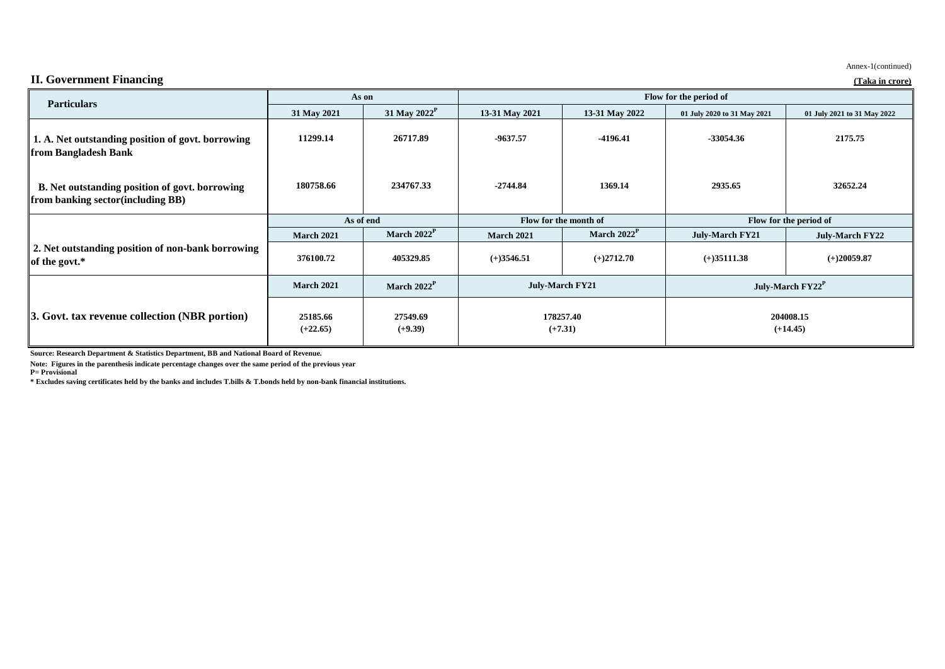|                                                                                             | As on                  |                          | Flow for the period of                           |                |                              |                             |  |
|---------------------------------------------------------------------------------------------|------------------------|--------------------------|--------------------------------------------------|----------------|------------------------------|-----------------------------|--|
| <b>Particulars</b>                                                                          | 31 May 2021            | 31 May 2022 <sup>P</sup> | 13-31 May 2021                                   | 13-31 May 2022 | 01 July 2020 to 31 May 2021  | 01 July 2021 to 31 May 2022 |  |
| 1. A. Net outstanding position of govt. borrowing<br>from Bangladesh Bank                   | 11299.14               | 26717.89                 | -9637.57                                         | $-4196.41$     | -33054.36                    | 2175.75                     |  |
| B. Net outstanding position of govt. borrowing<br><b>from banking sector (including BB)</b> | 180758.66              | 234767.33                | $-2744.84$                                       | 1369.14        | 2935.65                      | 32652.24                    |  |
|                                                                                             | As of end              |                          | Flow for the month of                            |                | Flow for the period of       |                             |  |
|                                                                                             | <b>March 2021</b>      | March $2022^P$           | <b>March 2021</b>                                | March $2022P$  | <b>July-March FY21</b>       | <b>July-March FY22</b>      |  |
| 2. Net outstanding position of non-bank borrowing<br>of the govt.*                          | 376100.72              | 405329.85                | $(+)3546.51$                                     | $(+)2712.70$   | $(+)35111.38$                | $(+)20059.87$               |  |
|                                                                                             | <b>March 2021</b>      | March $2022^P$           | <b>July-March FY21</b><br>178257.40<br>$(+7.31)$ |                | July-March FY22 <sup>P</sup> |                             |  |
| 3. Govt. tax revenue collection (NBR portion)                                               | 25185.66<br>$(+22.65)$ | 27549.69<br>$(+9.39)$    |                                                  |                | 204008.15<br>$(+14.45)$      |                             |  |

**Source: Research Department & Statistics Department, BB and National Board of Revenue.**

**Note: Figures in the parenthesis indicate percentage changes over the same period of the previous year**

**P= Provisional**

**\* Excludes saving certificates held by the banks and includes T.bills & T.bonds held by non-bank financial institutions.**

#### **II. Government Financing (Taka in crore)**

Annex-1(continued)